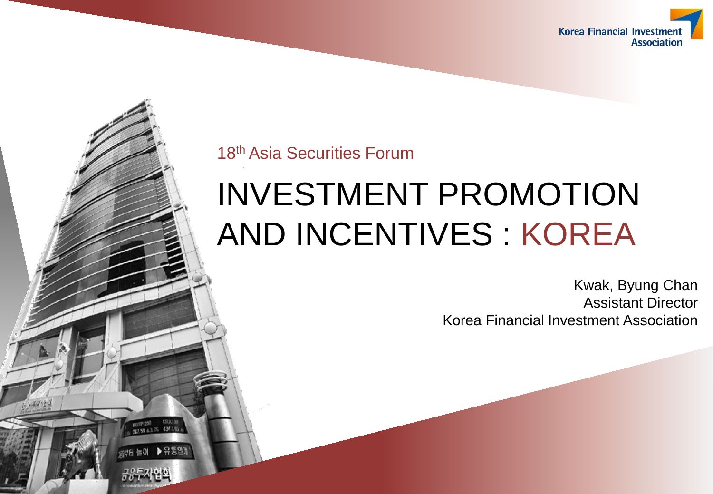

18th Asia Securities Forum

반터 늘이

# INVESTMENT PROMOTION AND INCENTIVES : KOREA

Kwak, Byung Chan Assistant Director Korea Financial Investment Association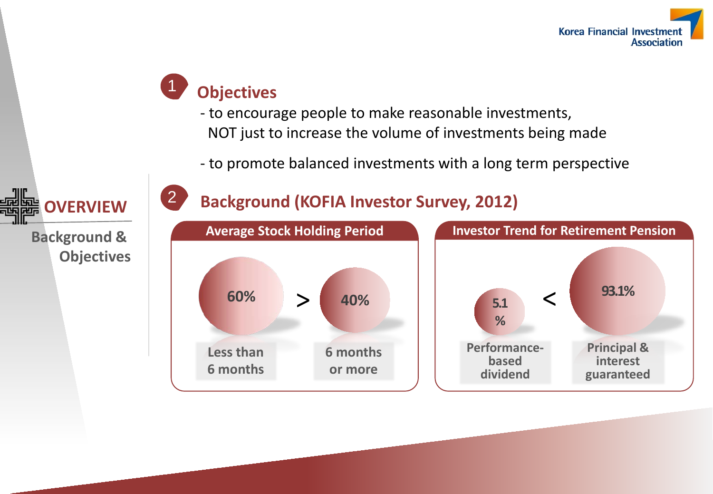

#### **Objectives** 1

**OVERVIEW**

**Objectives**

**Background &** 

- to encourage people to make reasonable investments, NOT just to increase the volume of investments being made
- to promote balanced investments with a long term perspective



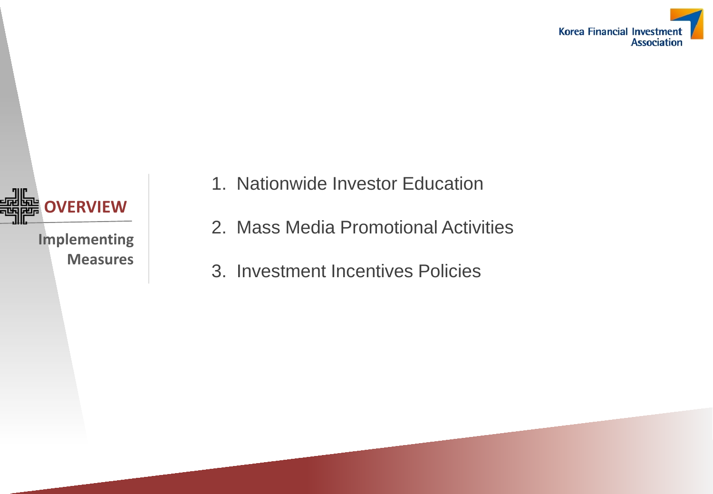



- 1. Nationwide Investor Education
- 2. Mass Media Promotional Activities
- 3. Investment Incentives Policies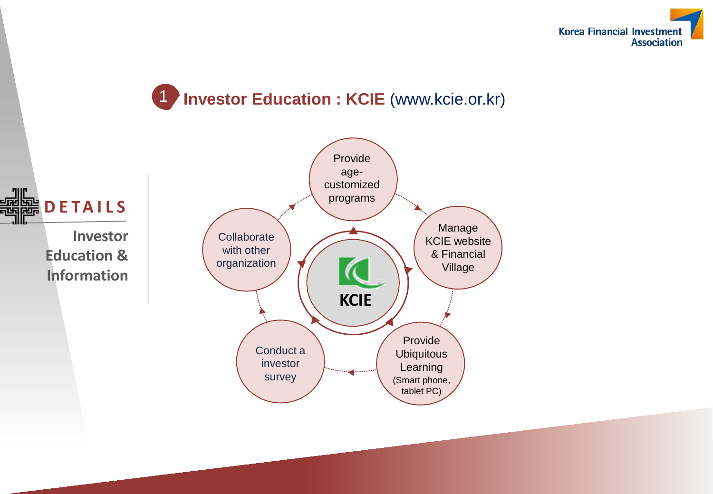

## 1 **Investor Education : KCIE** (www.kcie.or.kr)

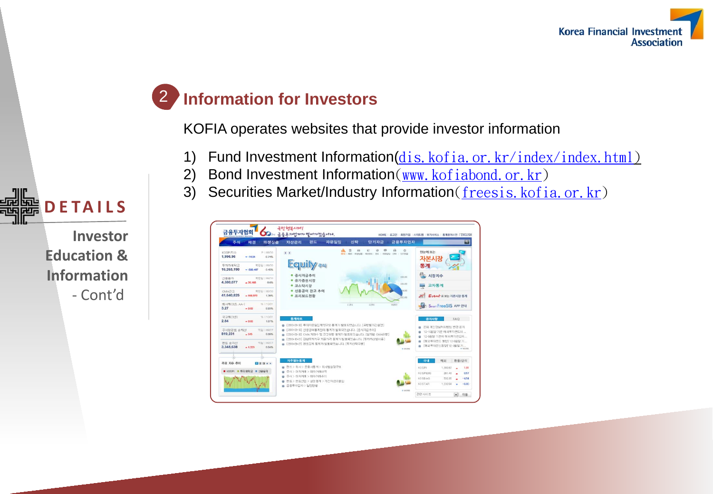

## 2 **Information for Investors**

KOFIA operates websites that provide investor information

- 1) Fund Investment Information(dis. kofia.or. kr/index/index.html)
- 2) Bond Investment Information (www. kofiabond.or. kr)
- 3) Securities Market/Industry Information (freesis. kofia.or. kr)





**Investor Education & Information** - Cont'd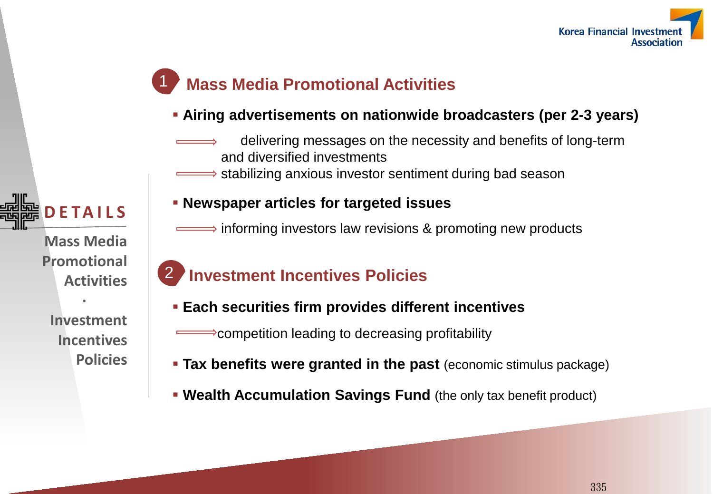

### **Mass Media Promotional Activities**

#### **Airing advertisements on nationwide broadcasters (per 2-3 years)**

- delivering messages on the necessity and benefits of long-term and diversified investments
- stabilizing anxious investor sentiment during bad season



**Mass Media Promotional Activities**

**·**

**Investment Incentives Policies**

#### **Newspaper articles for targeted issues**

 $\implies$  informing investors law revisions & promoting new products

#### 2 **Investment Incentives Policies**

- **Each securities firm provides different incentives**
	- competition leading to decreasing profitability
- **Tax benefits were granted in the past** (economic stimulus package)
- **Wealth Accumulation Savings Fund** (the only tax benefit product)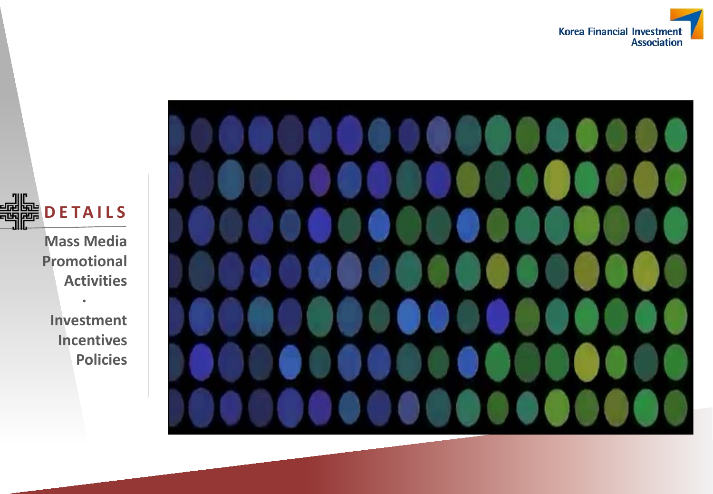



**DETAILS** 显 JIIL

> **Mass Media Promotional Activities**

> > **·**

**Investment Incentives Policies**